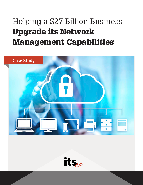# Helping a \$27 Billion Business Upgrade its Network Management Capabilities



its $_{co}$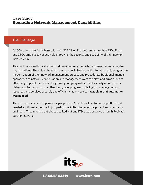## Case Study: Upgrading Network Management Capabilities

#### **The Challenge**

A 100+ year old regional bank with over \$27 Billion in assets and more than 250 offices and 2800 employees needed help improving the security and scalability of their network infrastructure.

This bank has a well-qualified network-engineering group whose primary focus is day-today operations. They didn't have the time or specialized expertise to make rapid progress on modernization of their network management process and procedures. Traditional, manual approaches to network configuration and management were too slow and error-prone to effectively support the needs of a growing company with critical security requirements. Network automation, on the other hand, uses programmable logic to manage network resources and services securely and efficiently at any scale. **It was clear that automation was needed.**

The customer's network operations group chose Ansible as its automation platform but needed additional expertise to jump-start the initial phases of the project and mentor its engineers. They reached out directly to Red Hat and ITSco was engaged through RedHat's partner network.



1.844.584.1319 [www.itsco.com](http://www.itsco.com)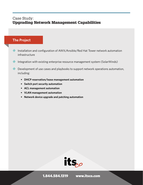## Case Study: Upgrading Network Management Capabilities

#### **The Project**

- Installation and configuration of AWX/Ansible/Red Hat Tower network automation infrastructure
- **Integration with existing enterprise resource management system (SolarWinds)**
- Development of use cases and playbooks to support network operations automation, including:
	- **• DHCP reservation/lease management automation**
	- **• Switch port security automation**
	- **• ACL management automation**
	- **• VLAN management automation**
	- **• Network device upgrade and patching automation**



1.844.584.1319 [www.itsco.com](http://www.itsco.com)